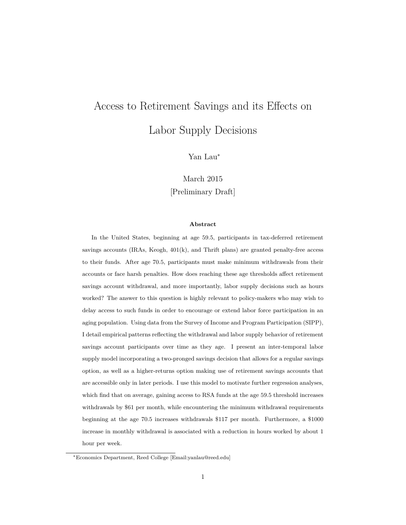# <span id="page-0-0"></span>Access to Retirement Savings and its Effects on Labor Supply Decisions

Yan Lau<sup>∗</sup>

March 2015 [Preliminary Draft]

#### **Abstract**

In the United States, beginning at age 59.5, participants in tax-deferred retirement savings accounts  $(IRAs, Keogh, 401(k), and Thrift plans)$  are granted penalty-free access to their funds. After age 70.5, participants must make minimum withdrawals from their accounts or face harsh penalties. How does reaching these age thresholds affect retirement savings account withdrawal, and more importantly, labor supply decisions such as hours worked? The answer to this question is highly relevant to policy-makers who may wish to delay access to such funds in order to encourage or extend labor force participation in an aging population. Using data from the Survey of Income and Program Participation (SIPP), I detail empirical patterns reflecting the withdrawal and labor supply behavior of retirement savings account participants over time as they age. I present an inter-temporal labor supply model incorporating a two-pronged savings decision that allows for a regular savings option, as well as a higher-returns option making use of retirement savings accounts that are accessible only in later periods. I use this model to motivate further regression analyses, which find that on average, gaining access to RSA funds at the age 59.5 threshold increases withdrawals by \$61 per month, while encountering the minimum withdrawal requirements beginning at the age 70.5 increases withdrawals \$117 per month. Furthermore, a \$1000 increase in monthly withdrawal is associated with a reduction in hours worked by about 1 hour per week.

<sup>∗</sup>Economics Department, Reed College [Email[:yanlau@reed.edu\]](mailto:yanlau@reed.edu)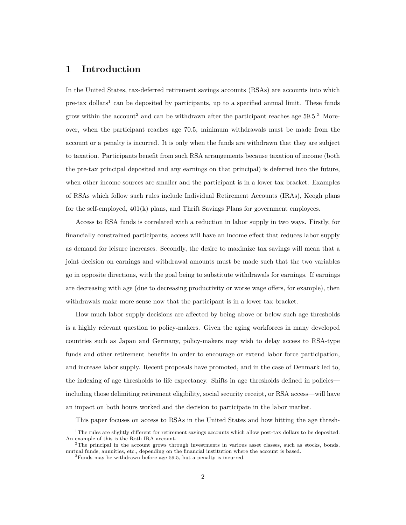#### **1 Introduction**

In the United States, tax-deferred retirement savings accounts (RSAs) are accounts into which pre-tax dollars<sup>[1](#page-0-0)</sup> can be deposited by participants, up to a specified annual limit. These funds grow within the account<sup>[2](#page-0-0)</sup> and can be withdrawn after the participant reaches age  $59.5^{3}$  $59.5^{3}$  $59.5^{3}$  Moreover, when the participant reaches age 70.5, minimum withdrawals must be made from the account or a penalty is incurred. It is only when the funds are withdrawn that they are subject to taxation. Participants benefit from such RSA arrangements because taxation of income (both the pre-tax principal deposited and any earnings on that principal) is deferred into the future, when other income sources are smaller and the participant is in a lower tax bracket. Examples of RSAs which follow such rules include Individual Retirement Accounts (IRAs), Keogh plans for the self-employed, 401(k) plans, and Thrift Savings Plans for government employees.

Access to RSA funds is correlated with a reduction in labor supply in two ways. Firstly, for financially constrained participants, access will have an income effect that reduces labor supply as demand for leisure increases. Secondly, the desire to maximize tax savings will mean that a joint decision on earnings and withdrawal amounts must be made such that the two variables go in opposite directions, with the goal being to substitute withdrawals for earnings. If earnings are decreasing with age (due to decreasing productivity or worse wage offers, for example), then withdrawals make more sense now that the participant is in a lower tax bracket.

How much labor supply decisions are affected by being above or below such age thresholds is a highly relevant question to policy-makers. Given the aging workforces in many developed countries such as Japan and Germany, policy-makers may wish to delay access to RSA-type funds and other retirement benefits in order to encourage or extend labor force participation, and increase labor supply. Recent proposals have promoted, and in the case of Denmark led to, the indexing of age thresholds to life expectancy. Shifts in age thresholds defined in policies including those delimiting retirement eligibility, social security receipt, or RSA access—will have an impact on both hours worked and the decision to participate in the labor market.

This paper focuses on access to RSAs in the United States and how hitting the age thresh-

<sup>1</sup>The rules are slightly different for retirement savings accounts which allow post-tax dollars to be deposited. An example of this is the Roth IRA account.

 $2$ The principal in the account grows through investments in various asset classes, such as stocks, bonds, mutual funds, annuities, etc., depending on the financial institution where the account is based.

<sup>3</sup>Funds may be withdrawn before age 59.5, but a penalty is incurred.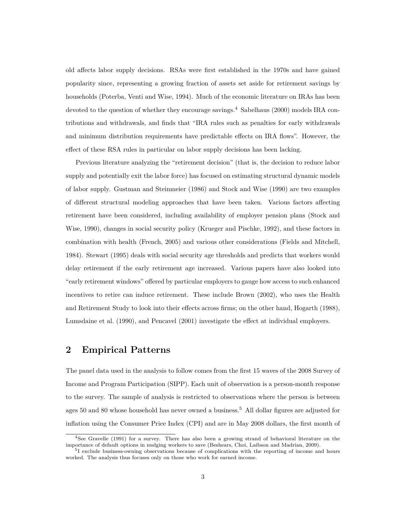old affects labor supply decisions. RSAs were first established in the 1970s and have gained popularity since, representing a growing fraction of assets set aside for retirement savings by households [\(Poterba, Venti and Wise, 1994\)](#page-19-0). Much of the economic literature on IRAs has been devoted to the question of whether they encourage savings.<sup>[4](#page-0-0)</sup> [Sabelhaus](#page-20-0) [\(2000\)](#page-20-0) models IRA contributions and withdrawals, and finds that "IRA rules such as penalties for early withdrawals and minimum distribution requirements have predictable effects on IRA flows". However, the effect of these RSA rules in particular on labor supply decisions has been lacking.

Previous literature analyzing the "retirement decision" (that is, the decision to reduce labor supply and potentially exit the labor force) has focused on estimating structural dynamic models of labor supply. [Gustman and Steinmeier](#page-19-1) [\(1986\)](#page-19-1) and [Stock and Wise](#page-20-1) [\(1990\)](#page-20-1) are two examples of different structural modeling approaches that have been taken. Various factors affecting retirement have been considered, including availability of employer pension plans [\(Stock and](#page-20-1) [Wise, 1990\)](#page-20-1), changes in social security policy [\(Krueger and Pischke, 1992\)](#page-19-2), and these factors in combination with health [\(French, 2005\)](#page-19-3) and various other considerations [\(Fields and Mitchell,](#page-19-4) [1984\)](#page-19-4). [Stewart](#page-20-2) [\(1995\)](#page-20-2) deals with social security age thresholds and predicts that workers would delay retirement if the early retirement age increased. Various papers have also looked into "early retirement windows" offered by particular employers to gauge how access to such enhanced incentives to retire can induce retirement. These include [Brown](#page-19-5) [\(2002\)](#page-19-5), who uses the Health and Retirement Study to look into their effects across firms; on the other hand, [Hogarth](#page-19-6) [\(1988\)](#page-19-6), [Lumsdaine et al.](#page-19-7) [\(1990\)](#page-19-7), and [Pencavel](#page-19-8) [\(2001\)](#page-19-8) investigate the effect at individual employers.

# **2 Empirical Patterns**

The panel data used in the analysis to follow comes from the first 15 waves of the 2008 Survey of Income and Program Participation (SIPP). Each unit of observation is a person-month response to the survey. The sample of analysis is restricted to observations where the person is between ages 50 and 80 whose household has never owned a business.[5](#page-0-0) All dollar figures are adjusted for inflation using the Consumer Price Index (CPI) and are in May 2008 dollars, the first month of

<sup>4</sup>See [Gravelle](#page-19-9) [\(1991\)](#page-19-9) for a survey. There has also been a growing strand of behavioral literature on the importance of default options in nudging workers to save [\(Beshears, Choi, Laibson and Madrian, 2009\)](#page-19-10).

<sup>&</sup>lt;sup>5</sup>I exclude business-owning observations because of complications with the reporting of income and hours worked. The analysis thus focuses only on those who work for earned income.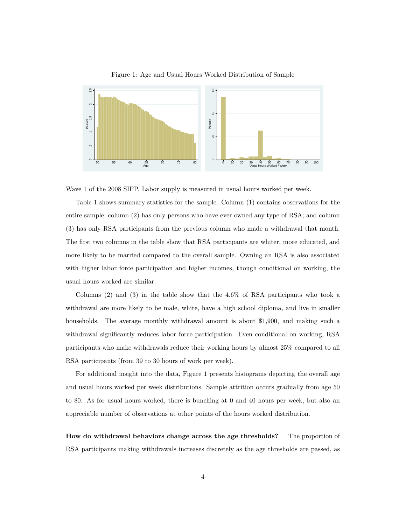

<span id="page-3-0"></span>Figure 1: Age and Usual Hours Worked Distribution of Sample

Wave 1 of the 2008 SIPP. Labor supply is measured in usual hours worked per week.

Table [1](#page-4-0) shows summary statistics for the sample. Column (1) contains observations for the entire sample; column (2) has only persons who have ever owned any type of RSA; and column (3) has only RSA participants from the previous column who made a withdrawal that month. The first two columns in the table show that RSA participants are whiter, more educated, and more likely to be married compared to the overall sample. Owning an RSA is also associated with higher labor force participation and higher incomes, though conditional on working, the usual hours worked are similar.

Columns (2) and (3) in the table show that the 4.6% of RSA participants who took a withdrawal are more likely to be male, white, have a high school diploma, and live in smaller households. The average monthly withdrawal amount is about \$1,900, and making such a withdrawal significantly reduces labor force participation. Even conditional on working, RSA participants who make withdrawals reduce their working hours by almost 25% compared to all RSA participants (from 39 to 30 hours of work per week).

For additional insight into the data, Figure [1](#page-3-0) presents histograms depicting the overall age and usual hours worked per week distributions. Sample attrition occurs gradually from age 50 to 80. As for usual hours worked, there is bunching at 0 and 40 hours per week, but also an appreciable number of observations at other points of the hours worked distribution.

**How do withdrawal behaviors change across the age thresholds?** The proportion of RSA participants making withdrawals increases discretely as the age thresholds are passed, as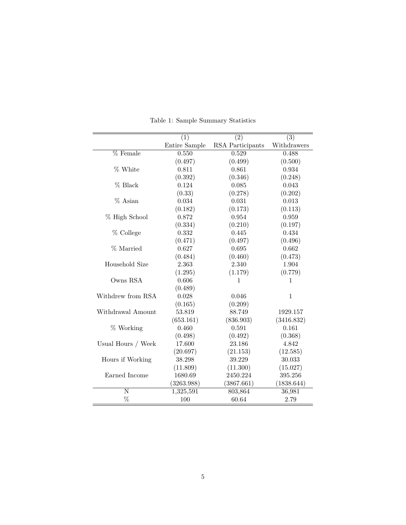|                    | (1)           | $\overline{(2)}$ | (3)          |
|--------------------|---------------|------------------|--------------|
|                    | Entire Sample | RSA Participants | Withdrawers  |
| $%$ Female         | 0.550         | 0.529            | 0.488        |
|                    | (0.497)       | (0.499)          | (0.500)      |
| % White            | 0.811         | 0.861            | 0.934        |
|                    | (0.392)       | (0.346)          | (0.248)      |
| % Black            | 0.124         | 0.085            | 0.043        |
|                    | (0.33)        | (0.278)          | (0.202)      |
| % Asian            | 0.034         | 0.031            | 0.013        |
|                    | (0.182)       | (0.173)          | (0.113)      |
| % High School      | 0.872         | 0.954            | 0.959        |
|                    | (0.334)       | (0.210)          | (0.197)      |
| % College          | 0.332         | 0.445            | 0.434        |
|                    | (0.471)       | (0.497)          | (0.496)      |
| % Married          | 0.627         | 0.695            | 0.662        |
|                    | (0.484)       | (0.460)          | (0.473)      |
| Household Size     | 2.363         | 2.340            | 1.904        |
|                    | (1.295)       | (1.179)          | (0.779)      |
| Owns RSA           | 0.606         | 1                |              |
|                    | (0.489)       |                  |              |
| Withdrew from RSA  | 0.028         | 0.046            | $\mathbf{1}$ |
|                    | (0.165)       | (0.209)          |              |
| Withdrawal Amount  | 53.819        | 88.749           | 1929.157     |
|                    | (653.161)     | (836.903)        | (3416.832)   |
| % Working          | 0.460         | 0.591            | 0.161        |
|                    | (0.498)       | (0.492)          | (0.368)      |
| Usual Hours / Week | 17.600        | 23.186           | 4.842        |
|                    | (20.697)      | (21.153)         | (12.585)     |
| Hours if Working   | 38.298        | 39.229           | 30.033       |
|                    | (11.809)      | (11.300)         | (15.027)     |
| Earned Income      | 1680.69       | 2450.224         | 395.256      |
|                    | (3263.988)    | (3867.661)       | (1838.644)   |
| N                  | 1,325,591     | 803,864          | 36,981       |
| %                  | 100           | 60.64            | 2.79         |

<span id="page-4-0"></span>Table 1: Sample Summary Statistics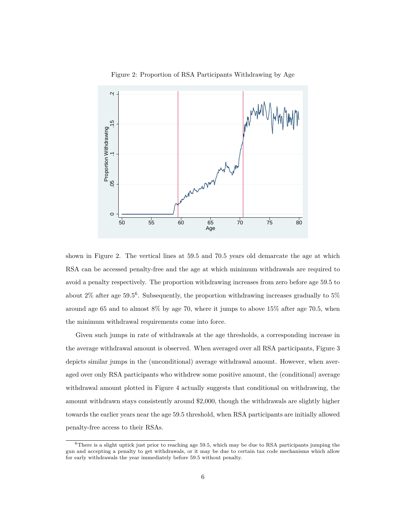<span id="page-5-0"></span>



shown in Figure [2.](#page-5-0) The vertical lines at 59.5 and 70.5 years old demarcate the age at which RSA can be accessed penalty-free and the age at which minimum withdrawals are required to avoid a penalty respectively. The proportion withdrawing increases from zero before age 59.5 to about 2% after age 59.5<sup>[6](#page-0-0)</sup>. Subsequently, the proportion withdrawing increases gradually to 5% around age 65 and to almost 8% by age 70, where it jumps to above 15% after age 70.5, when the minimum withdrawal requirements come into force.

Given such jumps in rate of withdrawals at the age thresholds, a corresponding increase in the average withdrawal amount is observed. When averaged over all RSA participants, Figure [3](#page-6-0) depicts similar jumps in the (unconditional) average withdrawal amount. However, when averaged over only RSA participants who withdrew some positive amount, the (conditional) average withdrawal amount plotted in Figure [4](#page-6-1) actually suggests that conditional on withdrawing, the amount withdrawn stays consistently around \$2,000, though the withdrawals are slightly higher towards the earlier years near the age 59.5 threshold, when RSA participants are initially allowed penalty-free access to their RSAs.

 $6$ There is a slight uptick just prior to reaching age 59.5, which may be due to RSA participants jumping the gun and accepting a penalty to get withdrawals, or it may be due to certain tax code mechanisms which allow for early withdrawals the year immediately before 59.5 without penalty.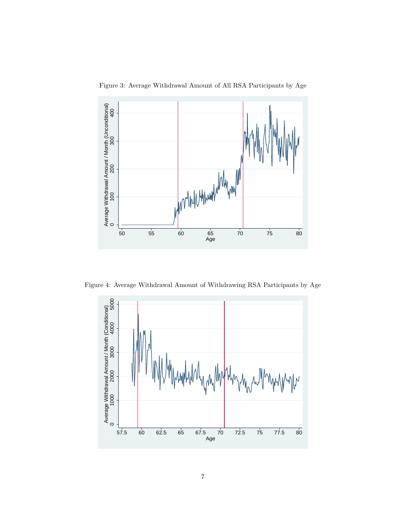<span id="page-6-0"></span>



Figure 4: Average Withdrawal Amount of Withdrawing RSA Participants by Age

<span id="page-6-1"></span>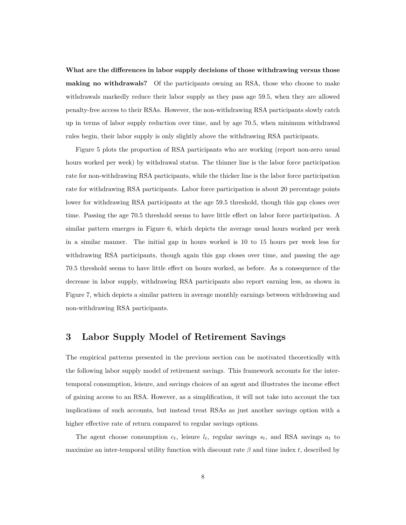**What are the differences in labor supply decisions of those withdrawing versus those making no withdrawals?** Of the participants owning an RSA, those who choose to make withdrawals markedly reduce their labor supply as they pass age 59.5, when they are allowed penalty-free access to their RSAs. However, the non-withdrawing RSA participants slowly catch up in terms of labor supply reduction over time, and by age 70.5, when minimum withdrawal rules begin, their labor supply is only slightly above the withdrawing RSA participants.

Figure [5](#page-8-0) plots the proportion of RSA participants who are working (report non-zero usual hours worked per week) by withdrawal status. The thinner line is the labor force participation rate for non-withdrawing RSA participants, while the thicker line is the labor force participation rate for withdrawing RSA participants. Labor force participation is about 20 percentage points lower for withdrawing RSA participants at the age 59.5 threshold, though this gap closes over time. Passing the age 70.5 threshold seems to have little effect on labor force participation. A similar pattern emerges in Figure [6,](#page-8-1) which depicts the average usual hours worked per week in a similar manner. The initial gap in hours worked is 10 to 15 hours per week less for withdrawing RSA participants, though again this gap closes over time, and passing the age 70.5 threshold seems to have little effect on hours worked, as before. As a consequence of the decrease in labor supply, withdrawing RSA participants also report earning less, as shown in Figure [7,](#page-9-0) which depicts a similar pattern in average monthly earnings between withdrawing and non-withdrawing RSA participants.

### **3 Labor Supply Model of Retirement Savings**

The empirical patterns presented in the previous section can be motivated theoretically with the following labor supply model of retirement savings. This framework accounts for the intertemporal consumption, leisure, and savings choices of an agent and illustrates the income effect of gaining access to an RSA. However, as a simplification, it will not take into account the tax implications of such accounts, but instead treat RSAs as just another savings option with a higher effective rate of return compared to regular savings options.

The agent choose consumption  $c_t$ , leisure  $l_t$ , regular savings  $s_t$ , and RSA savings  $a_t$  to maximize an inter-temporal utility function with discount rate *β* and time index *t*, described by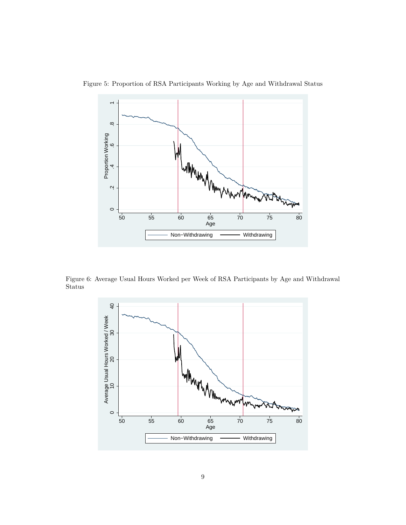

<span id="page-8-0"></span>

Figure 6: Average Usual Hours Worked per Week of RSA Participants by Age and Withdrawal Status

<span id="page-8-1"></span>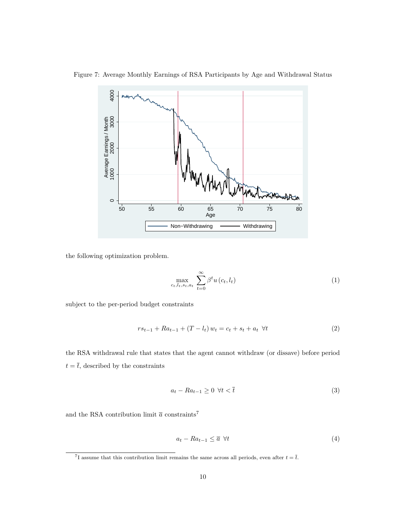<span id="page-9-0"></span>

Figure 7: Average Monthly Earnings of RSA Participants by Age and Withdrawal Status

the following optimization problem.

$$
\max_{c_t, l_t, s_t, a_t} \sum_{t=0}^{\infty} \beta^t u(c_t, l_t)
$$
\n(1)

subject to the per-period budget constraints

<span id="page-9-1"></span>
$$
rs_{t-1} + Ra_{t-1} + (T - l_t) w_t = c_t + s_t + a_t \ \forall t \tag{2}
$$

the RSA withdrawal rule that states that the agent cannot withdraw (or dissave) before period  $t=\overline{t},$  described by the constraints

<span id="page-9-2"></span>
$$
a_t - Ra_{t-1} \ge 0 \ \forall t < \overline{t} \tag{3}
$$

and the RSA contribution limit  $\overline{a}$  constraints<sup>[7](#page-0-0)</sup>

<span id="page-9-3"></span>
$$
a_t - Ra_{t-1} \leq \overline{a} \ \forall t \tag{4}
$$

<sup>&</sup>lt;sup>7</sup>I assume that this contribution limit remains the same across all periods, even after  $t = \overline{t}$ .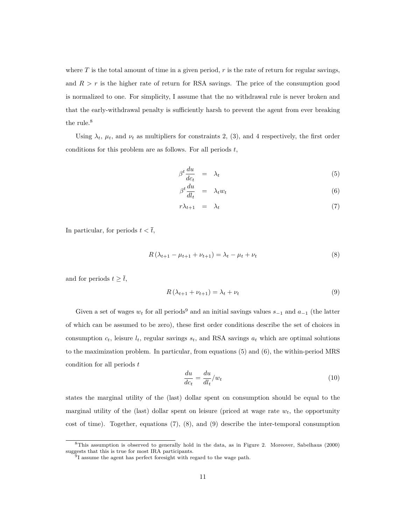where  $T$  is the total amount of time in a given period,  $r$  is the rate of return for regular savings, and  $R > r$  is the higher rate of return for RSA savings. The price of the consumption good is normalized to one. For simplicity, I assume that the no withdrawal rule is never broken and that the early-withdrawal penalty is sufficiently harsh to prevent the agent from ever breaking the rule.<sup>[8](#page-0-0)</sup>

Using  $\lambda_t$ ,  $\mu_t$ , and  $\nu_t$  as multipliers for constraints [2,](#page-9-1) [\(3\)](#page-9-2), and [4](#page-9-3) respectively, the first order conditions for this problem are as follows. For all periods *t*,

<span id="page-10-0"></span>
$$
\beta^t \frac{du}{dc_t} = \lambda_t \tag{5}
$$

$$
\beta^t \frac{du}{dl_t} = \lambda_t w_t \tag{6}
$$

$$
r\lambda_{t+1} = \lambda_t \tag{7}
$$

In particular, for periods  $t < \overline{t}$ ,

<span id="page-10-1"></span>
$$
R(\lambda_{t+1} - \mu_{t+1} + \nu_{t+1}) = \lambda_t - \mu_t + \nu_t \tag{8}
$$

and for periods  $t \geq \overline{t}$ ,

<span id="page-10-2"></span>
$$
R\left(\lambda_{t+1} + \nu_{t+1}\right) = \lambda_t + \nu_t \tag{9}
$$

Given a set of wages  $w_t$  for all periods<sup>[9](#page-0-0)</sup> and an initial savings values  $s_{-1}$  and  $a_{-1}$  (the latter of which can be assumed to be zero), these first order conditions describe the set of choices in consumption  $c_t$ , leisure  $l_t$ , regular savings  $s_t$ , and RSA savings  $a_t$  which are optimal solutions to the maximization problem. In particular, from equations [\(5\)](#page-10-0) and [\(6\)](#page-10-0), the within-period MRS condition for all periods *t*

<span id="page-10-3"></span>
$$
\frac{du}{dc_t} = \frac{du}{dl_t}/w_t\tag{10}
$$

states the marginal utility of the (last) dollar spent on consumption should be equal to the marginal utility of the (last) dollar spent on leisure (priced at wage rate *wt*, the opportunity cost of time). Together, equations [\(7\)](#page-10-0), [\(8\)](#page-10-1), and [\(9\)](#page-10-2) describe the inter-temporal consumption

<sup>8</sup>This assumption is observed to generally hold in the data, as in Figure [2.](#page-5-0) Moreover, [Sabelhaus](#page-20-0) [\(2000\)](#page-20-0) suggests that this is true for most IRA participants.

<sup>&</sup>lt;sup>9</sup>I assume the agent has perfect foresight with regard to the wage path.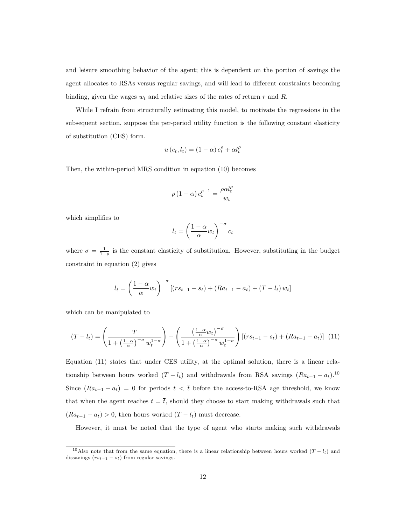and leisure smoothing behavior of the agent; this is dependent on the portion of savings the agent allocates to RSAs versus regular savings, and will lead to different constraints becoming binding, given the wages  $w_t$  and relative sizes of the rates of return  $r$  and  $R$ .

While I refrain from structurally estimating this model, to motivate the regressions in the subsequent section, suppose the per-period utility function is the following constant elasticity of substitution (CES) form.

$$
u(c_t, l_t) = (1 - \alpha) c_t^{\rho} + \alpha l_t^{\rho}
$$

Then, the within-period MRS condition in equation [\(10\)](#page-10-3) becomes

$$
\rho\left(1-\alpha\right)c_t^{\rho-1} = \frac{\rho \alpha l_t^{\rho}}{w_t}
$$

which simplifies to

$$
l_t = \left(\frac{1-\alpha}{\alpha}w_t\right)^{-\sigma}c_t
$$

where  $\sigma = \frac{1}{1-\rho}$  is the constant elasticity of substitution. However, substituting in the budget constraint in equation [\(2\)](#page-9-1) gives

$$
l_{t} = \left(\frac{1-\alpha}{\alpha}w_{t}\right)^{-\sigma} [(rs_{t-1} - s_{t}) + (Ra_{t-1} - a_{t}) + (T - l_{t}) w_{t}]
$$

which can be manipulated to

<span id="page-11-0"></span>
$$
(T - l_t) = \left(\frac{T}{1 + \left(\frac{1-\alpha}{\alpha}\right)^{-\sigma} w_t^{1-\sigma}}\right) - \left(\frac{\left(\frac{1-\alpha}{\alpha} w_t\right)^{-\sigma}}{1 + \left(\frac{1-\alpha}{\alpha}\right)^{-\sigma} w_t^{1-\sigma}}\right) \left[ (rs_{t-1} - s_t) + (Ra_{t-1} - a_t) \right] \tag{11}
$$

Equation [\(11\)](#page-11-0) states that under CES utility, at the optimal solution, there is a linear relationship between hours worked  $(T - l_t)$  and withdrawals from RSA savings  $(Ra_{t-1} - a_t)$ .<sup>[10](#page-0-0)</sup> Since  $(Ra_{t-1} - a_t) = 0$  for periods  $t < \bar{t}$  before the access-to-RSA age threshold, we know that when the agent reaches  $t = \overline{t}$ , should they choose to start making withdrawals such that  $(Ra_{t-1} - a_t) > 0$ , then hours worked  $(T - l_t)$  must decrease.

However, it must be noted that the type of agent who starts making such withdrawals

<sup>&</sup>lt;sup>10</sup>Also note that from the same equation, there is a linear relationship between hours worked  $(T - l_t)$  and dissavings  $(rs_{t-1} - s_t)$  from regular savings.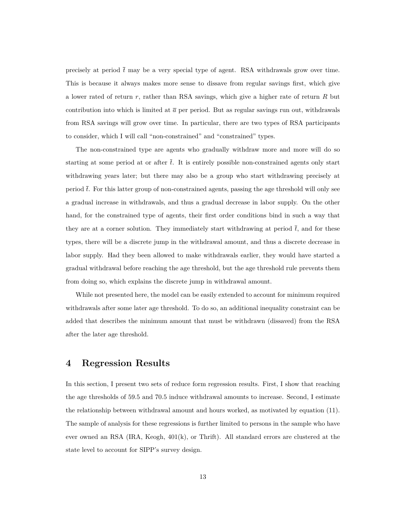precisely at period  $\bar{t}$  may be a very special type of agent. RSA withdrawals grow over time. This is because it always makes more sense to dissave from regular savings first, which give a lower rated of return *r*, rather than RSA savings, which give a higher rate of return *R* but contribution into which is limited at  $\bar{a}$  per period. But as regular savings run out, withdrawals from RSA savings will grow over time. In particular, there are two types of RSA participants to consider, which I will call "non-constrained" and "constrained" types.

The non-constrained type are agents who gradually withdraw more and more will do so starting at some period at or after  $\bar{t}$ . It is entirely possible non-constrained agents only start withdrawing years later; but there may also be a group who start withdrawing precisely at period  $\bar{t}$ . For this latter group of non-constrained agents, passing the age threshold will only see a gradual increase in withdrawals, and thus a gradual decrease in labor supply. On the other hand, for the constrained type of agents, their first order conditions bind in such a way that they are at a corner solution. They immediately start withdrawing at period  $\bar{t}$ , and for these types, there will be a discrete jump in the withdrawal amount, and thus a discrete decrease in labor supply. Had they been allowed to make withdrawals earlier, they would have started a gradual withdrawal before reaching the age threshold, but the age threshold rule prevents them from doing so, which explains the discrete jump in withdrawal amount.

While not presented here, the model can be easily extended to account for minimum required withdrawals after some later age threshold. To do so, an additional inequality constraint can be added that describes the minimum amount that must be withdrawn (dissaved) from the RSA after the later age threshold.

#### **4 Regression Results**

In this section, I present two sets of reduce form regression results. First, I show that reaching the age thresholds of 59.5 and 70.5 induce withdrawal amounts to increase. Second, I estimate the relationship between withdrawal amount and hours worked, as motivated by equation [\(11\)](#page-11-0). The sample of analysis for these regressions is further limited to persons in the sample who have ever owned an RSA (IRA, Keogh, 401(k), or Thrift). All standard errors are clustered at the state level to account for SIPP's survey design.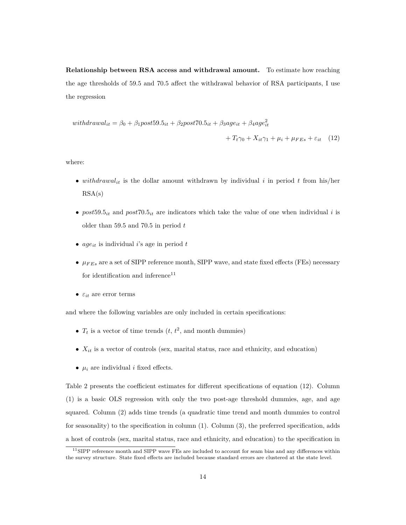**Relationship between RSA access and withdrawal amount.** To estimate how reaching the age thresholds of 59.5 and 70.5 affect the withdrawal behavior of RSA participants, I use the regression

<span id="page-13-0"></span>with  
drawal<sub>it</sub> = 
$$
\beta_0 + \beta_1
$$
post59.5<sub>it</sub> +  $\beta_2$ post70.5<sub>it</sub> +  $\beta_3$ age<sub>it</sub> +  $\beta_4$ age<sup>2</sup><sub>it</sub>  
+  $T_t\gamma_0 + X_{it}\gamma_1 + \mu_i + \mu_{FEs} + \varepsilon_{it}$  (12)

where:

- *withdrawalit* is the dollar amount withdrawn by individual *i* in period *t* from his/her  $RSA(s)$
- $post59.5<sub>it</sub>$  and  $post70.5<sub>it</sub>$  are indicators which take the value of one when individual *i* is older than 59.5 and 70.5 in period *t*
- *ageit* is individual *i*'s age in period *t*
- *µF Es* are a set of SIPP reference month, SIPP wave, and state fixed effects (FEs) necessary for identification and inference  $\!11}$  $\!11}$  $\!11}$
- $\bullet\ \varepsilon_{it}$  are error terms

and where the following variables are only included in certain specifications:

- $T_t$  is a vector of time trends  $(t, t^2, \text{ and month dummies})$
- $X_{it}$  is a vector of controls (sex, marital status, race and ethnicity, and education)
- $\mu_i$  are individual *i* fixed effects.

Table [2](#page-15-0) presents the coefficient estimates for different specifications of equation [\(12\)](#page-13-0). Column (1) is a basic OLS regression with only the two post-age threshold dummies, age, and age squared. Column (2) adds time trends (a quadratic time trend and month dummies to control for seasonality) to the specification in column (1). Column (3), the preferred specification, adds a host of controls (sex, marital status, race and ethnicity, and education) to the specification in

<sup>11</sup>SIPP reference month and SIPP wave FEs are included to account for seam bias and any differences within the survey structure. State fixed effects are included because standard errors are clustered at the state level.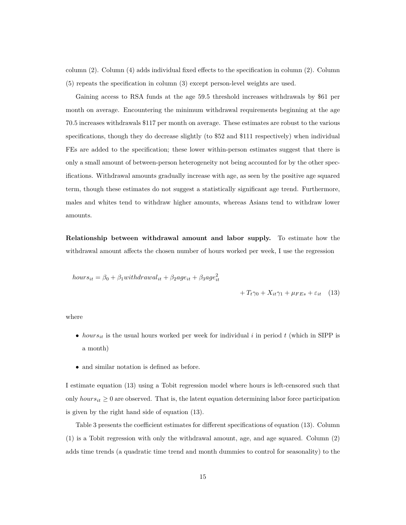column (2). Column (4) adds individual fixed effects to the specification in column (2). Column (5) repeats the specification in column (3) except person-level weights are used.

Gaining access to RSA funds at the age 59.5 threshold increases withdrawals by \$61 per month on average. Encountering the minimum withdrawal requirements beginning at the age 70.5 increases withdrawals \$117 per month on average. These estimates are robust to the various specifications, though they do decrease slightly (to \$52 and \$111 respectively) when individual FEs are added to the specification; these lower within-person estimates suggest that there is only a small amount of between-person heterogeneity not being accounted for by the other specifications. Withdrawal amounts gradually increase with age, as seen by the positive age squared term, though these estimates do not suggest a statistically significant age trend. Furthermore, males and whites tend to withdraw higher amounts, whereas Asians tend to withdraw lower amounts.

**Relationship between withdrawal amount and labor supply.** To estimate how the withdrawal amount affects the chosen number of hours worked per week, I use the regression

<span id="page-14-0"></span>
$$
hours_{it} = \beta_0 + \beta_1 with drawal_{it} + \beta_2 age_{it} + \beta_3 age_{it}^2
$$
  
+  $T_t \gamma_0 + X_{it} \gamma_1 + \mu_{FEs} + \varepsilon_{it}$  (13)

where

- *hours*<sub>*it*</sub> is the usual hours worked per week for individual *i* in period *t* (which in SIPP is a month)
- and similar notation is defined as before.

I estimate equation [\(13\)](#page-14-0) using a Tobit regression model where hours is left-censored such that only *hours*<sub>*it*</sub>  $\geq 0$  are observed. That is, the latent equation determining labor force participation is given by the right hand side of equation [\(13\)](#page-14-0).

Table [3](#page-17-0) presents the coefficient estimates for different specifications of equation [\(13\)](#page-14-0). Column (1) is a Tobit regression with only the withdrawal amount, age, and age squared. Column (2) adds time trends (a quadratic time trend and month dummies to control for seasonality) to the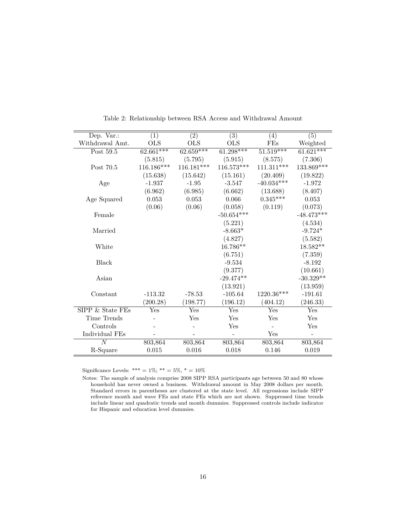| Dep. Var.:       | $\overline{(1)}$ | $\overline{(2)}$ | $\overline{(3)}$ | $\left( 4\right)$ | $\overline{(5)}$         |
|------------------|------------------|------------------|------------------|-------------------|--------------------------|
| Withdrawal Amt.  | <b>OLS</b>       | <b>OLS</b>       | OLS              | FEs               | Weighted                 |
| Post 59.5        | $62.661***$      | $62.659***$      | $61.298***$      | $51.519***$       | $61.621***$              |
|                  | (5.815)          | (5.795)          | (5.915)          | (8.575)           | (7.306)                  |
| Post 70.5        | 116.186***       | $116.181***$     | $116.573***$     | $111.311***$      | 133.869***               |
|                  | (15.638)         | (15.642)         | (15.161)         | (20.409)          | (19.822)                 |
| Age              | $-1.937$         | $-1.95$          | $-3.547$         | $-40.034***$      | $-1.972$                 |
|                  | (6.962)          | (6.985)          | (6.662)          | (13.688)          | (8.407)                  |
| Age Squared      | 0.053            | 0.053            | 0.066            | $0.345***$        | 0.053                    |
|                  | (0.06)           | (0.06)           | (0.058)          | (0.119)           | (0.073)                  |
| Female           |                  |                  | $-50.654***$     |                   | $-48.473***$             |
|                  |                  |                  | (5.221)          |                   | (4.534)                  |
| Married          |                  |                  | $-8.663*$        |                   | $-9.724*$                |
|                  |                  |                  | (4.827)          |                   | (5.582)                  |
| White            |                  |                  | 16.786**         |                   | $18.582**$               |
|                  |                  |                  | (6.751)          |                   | (7.359)                  |
| <b>Black</b>     |                  |                  | $-9.534$         |                   | $-8.192$                 |
|                  |                  |                  | (9.377)          |                   | (10.661)                 |
| Asian            |                  |                  | $-29.474**$      |                   | $-30.329**$              |
|                  |                  |                  | (13.921)         |                   | (13.959)                 |
| Constant         | $-113.32$        | $-78.53$         | $-105.64$        | 1220.36***        | $-191.61$                |
|                  | (200.28)         | (198.77)         | (196.12)         | (404.12)          | (246.33)                 |
| SIPP & State FEs | Yes              | Yes              | Yes              | Yes               | Yes                      |
| Time Trends      |                  | Yes              | Yes              | Yes               | Yes                      |
| Controls         |                  |                  | Yes              |                   | Yes                      |
| Individual FEs   |                  |                  |                  | Yes               | $\overline{\phantom{m}}$ |
| $\overline{N}$   | 803,864          | 803,864          | 803,864          | 803,864           | 803,864                  |
| R-Square         | 0.015            | 0.016            | 0.018            | 0.146             | 0.019                    |

<span id="page-15-0"></span>Table 2: Relationship between RSA Access and Withdrawal Amount

Significance Levels: \*\*\* = 1%; \*\* = 5%, \* = 10%

Notes: The sample of analysis comprise 2008 SIPP RSA participants age between 50 and 80 whose household has never owned a business. Withdrawal amount in May 2008 dollars per month. Standard errors in parentheses are clustered at the state level. All regressions include SIPP reference month and wave FEs and state FEs which are not shown. Suppressed time trends include linear and quadratic trends and month dummies. Suppressed controls include indicator for Hispanic and education level dummies.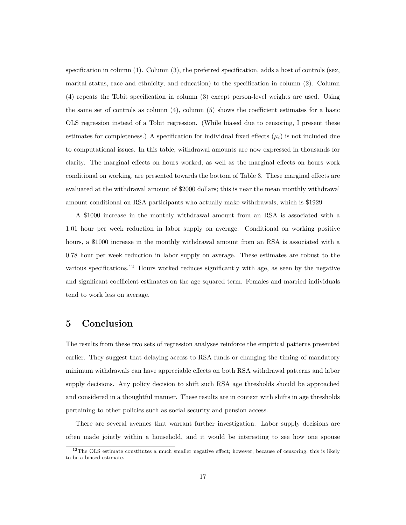specification in column (1). Column (3), the preferred specification, adds a host of controls (sex, marital status, race and ethnicity, and education) to the specification in column (2). Column (4) repeats the Tobit specification in column (3) except person-level weights are used. Using the same set of controls as column  $(4)$ , column  $(5)$  shows the coefficient estimates for a basic OLS regression instead of a Tobit regression. (While biased due to censoring, I present these estimates for completeness.) A specification for individual fixed effects  $(\mu_i)$  is not included due to computational issues. In this table, withdrawal amounts are now expressed in thousands for clarity. The marginal effects on hours worked, as well as the marginal effects on hours work conditional on working, are presented towards the bottom of Table [3.](#page-17-0) These marginal effects are evaluated at the withdrawal amount of \$2000 dollars; this is near the mean monthly withdrawal amount conditional on RSA participants who actually make withdrawals, which is \$1929

A \$1000 increase in the monthly withdrawal amount from an RSA is associated with a 1.01 hour per week reduction in labor supply on average. Conditional on working positive hours, a \$1000 increase in the monthly withdrawal amount from an RSA is associated with a 0.78 hour per week reduction in labor supply on average. These estimates are robust to the various specifications.<sup>[12](#page-0-0)</sup> Hours worked reduces significantly with age, as seen by the negative and significant coefficient estimates on the age squared term. Females and married individuals tend to work less on average.

# **5 Conclusion**

The results from these two sets of regression analyses reinforce the empirical patterns presented earlier. They suggest that delaying access to RSA funds or changing the timing of mandatory minimum withdrawals can have appreciable effects on both RSA withdrawal patterns and labor supply decisions. Any policy decision to shift such RSA age thresholds should be approached and considered in a thoughtful manner. These results are in context with shifts in age thresholds pertaining to other policies such as social security and pension access.

There are several avenues that warrant further investigation. Labor supply decisions are often made jointly within a household, and it would be interesting to see how one spouse

<sup>&</sup>lt;sup>12</sup>The OLS estimate constitutes a much smaller negative effect; however, because of censoring, this is likely to be a biased estimate.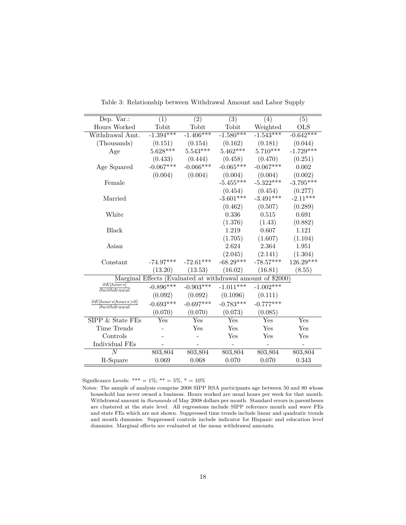| Dep. Var.:                                                  | (1)         | (2)         | (3)         | (4)         | (5)          |  |
|-------------------------------------------------------------|-------------|-------------|-------------|-------------|--------------|--|
| Hours Worked                                                | Tobit       | Tobit       | Tobit       | Weighted    | $_{\rm OLS}$ |  |
| Withdrawal Amt.                                             | $-1.394***$ | $-1.406***$ | $-1.580***$ | $-1.543***$ | $-0.642***$  |  |
| (Thousands)                                                 | (0.151)     | (0.154)     | (0.162)     | (0.181)     | (0.044)      |  |
| Age                                                         | $5.628***$  | $5.543***$  | $5.462***$  | $5.710***$  | $-1.729***$  |  |
|                                                             | (0.433)     | (0.444)     | (0.458)     | (0.470)     | (0.251)      |  |
| Age Squared                                                 | $-0.067***$ | $-0.066***$ | $-0.065***$ | $-0.067***$ | 0.002        |  |
|                                                             | (0.004)     | (0.004)     | (0.004)     | (0.004)     | (0.002)      |  |
| Female                                                      |             |             | $-5.455***$ | $-5.322***$ | $-3.795***$  |  |
|                                                             |             |             | (0.454)     | (0.454)     | (0.277)      |  |
| Married                                                     |             |             | $-3.601***$ | $-3.491***$ | $-2.11***$   |  |
|                                                             |             |             | (0.462)     | (0.507)     | (0.289)      |  |
| White                                                       |             |             | 0.336       | 0.515       | 0.691        |  |
|                                                             |             |             | (1.376)     | (1.43)      | (0.882)      |  |
| Black                                                       |             |             | 1.219       | 0.607       | 1.121        |  |
|                                                             |             |             | (1.705)     | (1.607)     | (1.104)      |  |
| Asian                                                       |             |             | 2.624       | 2.364       | 1.951        |  |
|                                                             |             |             | (2.045)     | (2.141)     | (1.304)      |  |
| Constant                                                    | $-74.97***$ | $-72.61***$ | $-68.29***$ | $-78.57***$ | $126.29***$  |  |
|                                                             | (13.20)     | (13.53)     | (16.02)     | (16.81)     | (8.55)       |  |
| Marginal Effects (Evaluated at withdrawal amount of \$2000) |             |             |             |             |              |  |
| $\partial E[hours]$<br>$\overline{\partial with drawal}$    | $-0.896***$ | $-0.903***$ | $-1.011***$ | $-1.002***$ |              |  |
|                                                             | (0.092)     | (0.092)     | (0.1096)    | (0.111)     |              |  |
| $\partial E[hours   hours50]$<br>$\partial with drawn$      | $-0.693***$ | $-0.697***$ | $-0.783***$ | $-0.777***$ |              |  |
|                                                             | (0.070)     | (0.070)     | (0.073)     | (0.085)     |              |  |
| SIPP & State FEs                                            | Yes         | Yes         | Yes         | Yes         | Yes          |  |
| Time Trends                                                 |             | Yes         | Yes         | Yes         | Yes          |  |
| Controls                                                    |             |             | Yes         | Yes         | Yes          |  |
| Individual FEs                                              |             |             |             |             |              |  |
| N                                                           | 803,804     | 803,804     | 803,804     | 803,804     | 803,804      |  |
| R-Square                                                    | 0.069       | 0.068       | 0.070       | 0.070       | 0.343        |  |
|                                                             |             |             |             |             |              |  |

<span id="page-17-0"></span>Table 3: Relationship between Withdrawal Amount and Labor Supply

Significance Levels: \*\*\* =  $1\%$ ; \*\* =  $5\%$ , \* =  $10\%$ 

Notes: The sample of analysis comprise 2008 SIPP RSA participants age between 50 and 80 whose household has never owned a business. Hours worked are usual hours per week for that month. Withdrawal amount in *thousands* of May 2008 dollars per month. Standard errors in parentheses are clustered at the state level. All regressions include SIPP reference month and wave FEs and state FEs which are not shown. Suppressed time trends include linear and quadratic trends and month dummies. Suppressed controls include indicator for Hispanic and education level dummies. Marginal effects are evaluated at the mean withdrawal amounts.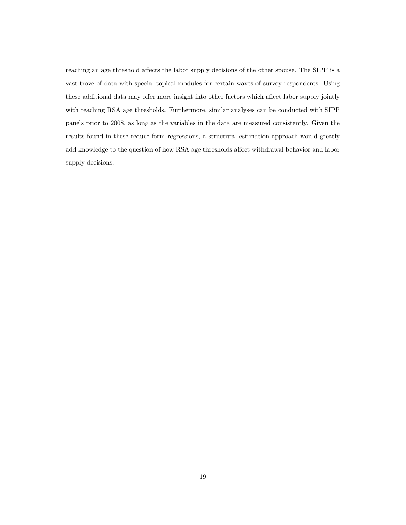reaching an age threshold affects the labor supply decisions of the other spouse. The SIPP is a vast trove of data with special topical modules for certain waves of survey respondents. Using these additional data may offer more insight into other factors which affect labor supply jointly with reaching RSA age thresholds. Furthermore, similar analyses can be conducted with SIPP panels prior to 2008, as long as the variables in the data are measured consistently. Given the results found in these reduce-form regressions, a structural estimation approach would greatly add knowledge to the question of how RSA age thresholds affect withdrawal behavior and labor supply decisions.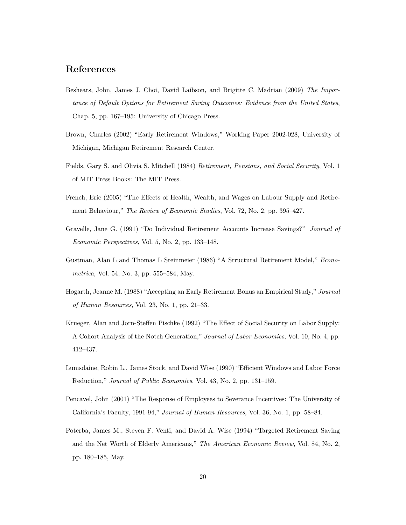## **References**

- <span id="page-19-10"></span>Beshears, John, James J. Choi, David Laibson, and Brigitte C. Madrian (2009) *The Importance of Default Options for Retirement Saving Outcomes: Evidence from the United States*, Chap. 5, pp. 167–195: University of Chicago Press.
- <span id="page-19-5"></span>Brown, Charles (2002) "Early Retirement Windows," Working Paper 2002-028, University of Michigan, Michigan Retirement Research Center.
- <span id="page-19-4"></span>Fields, Gary S. and Olivia S. Mitchell (1984) *Retirement, Pensions, and Social Security*, Vol. 1 of MIT Press Books: The MIT Press.
- <span id="page-19-3"></span>French, Eric (2005) "The Effects of Health, Wealth, and Wages on Labour Supply and Retirement Behaviour," *The Review of Economic Studies*, Vol. 72, No. 2, pp. 395–427.
- <span id="page-19-9"></span>Gravelle, Jane G. (1991) "Do Individual Retirement Accounts Increase Savings?" *Journal of Economic Perspectives*, Vol. 5, No. 2, pp. 133–148.
- <span id="page-19-1"></span>Gustman, Alan L and Thomas L Steinmeier (1986) "A Structural Retirement Model," *Econometrica*, Vol. 54, No. 3, pp. 555–584, May.
- <span id="page-19-6"></span>Hogarth, Jeanne M. (1988) "Accepting an Early Retirement Bonus an Empirical Study," *Journal of Human Resources*, Vol. 23, No. 1, pp. 21–33.
- <span id="page-19-2"></span>Krueger, Alan and Jorn-Steffen Pischke (1992) "The Effect of Social Security on Labor Supply: A Cohort Analysis of the Notch Generation," *Journal of Labor Economics*, Vol. 10, No. 4, pp. 412–437.
- <span id="page-19-7"></span>Lumsdaine, Robin L., James Stock, and David Wise (1990) "Efficient Windows and Labor Force Reduction," *Journal of Public Economics*, Vol. 43, No. 2, pp. 131–159.
- <span id="page-19-8"></span>Pencavel, John (2001) "The Response of Employees to Severance Incentives: The University of California's Faculty, 1991-94," *Journal of Human Resources*, Vol. 36, No. 1, pp. 58–84.
- <span id="page-19-0"></span>Poterba, James M., Steven F. Venti, and David A. Wise (1994) "Targeted Retirement Saving and the Net Worth of Elderly Americans," *The American Economic Review*, Vol. 84, No. 2, pp. 180–185, May.